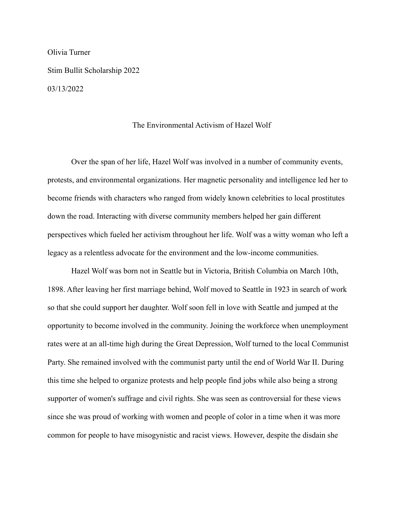Olivia Turner Stim Bullit Scholarship 2022 03/13/2022

## The Environmental Activism of Hazel Wolf

Over the span of her life, Hazel Wolf was involved in a number of community events, protests, and environmental organizations. Her magnetic personality and intelligence led her to become friends with characters who ranged from widely known celebrities to local prostitutes down the road. Interacting with diverse community members helped her gain different perspectives which fueled her activism throughout her life. Wolf was a witty woman who left a legacy as a relentless advocate for the environment and the low-income communities.

Hazel Wolf was born not in Seattle but in Victoria, British Columbia on March 10th, 1898. After leaving her first marriage behind, Wolf moved to Seattle in 1923 in search of work so that she could support her daughter. Wolf soon fell in love with Seattle and jumped at the opportunity to become involved in the community. Joining the workforce when unemployment rates were at an all-time high during the Great Depression, Wolf turned to the local Communist Party. She remained involved with the communist party until the end of World War II. During this time she helped to organize protests and help people find jobs while also being a strong supporter of women's suffrage and civil rights. She was seen as controversial for these views since she was proud of working with women and people of color in a time when it was more common for people to have misogynistic and racist views. However, despite the disdain she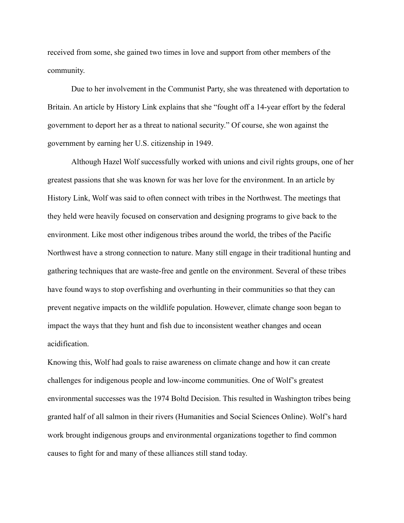received from some, she gained two times in love and support from other members of the community.

Due to her involvement in the Communist Party, she was threatened with deportation to Britain. An article by History Link explains that she "fought off a 14-year effort by the federal government to deport her as a threat to national security." Of course, she won against the government by earning her U.S. citizenship in 1949.

Although Hazel Wolf successfully worked with unions and civil rights groups, one of her greatest passions that she was known for was her love for the environment. In an article by History Link, Wolf was said to often connect with tribes in the Northwest. The meetings that they held were heavily focused on conservation and designing programs to give back to the environment. Like most other indigenous tribes around the world, the tribes of the Pacific Northwest have a strong connection to nature. Many still engage in their traditional hunting and gathering techniques that are waste-free and gentle on the environment. Several of these tribes have found ways to stop overfishing and overhunting in their communities so that they can prevent negative impacts on the wildlife population. However, climate change soon began to impact the ways that they hunt and fish due to inconsistent weather changes and ocean acidification.

Knowing this, Wolf had goals to raise awareness on climate change and how it can create challenges for indigenous people and low-income communities. One of Wolf's greatest environmental successes was the 1974 Boltd Decision. This resulted in Washington tribes being granted half of all salmon in their rivers (Humanities and Social Sciences Online). Wolf's hard work brought indigenous groups and environmental organizations together to find common causes to fight for and many of these alliances still stand today.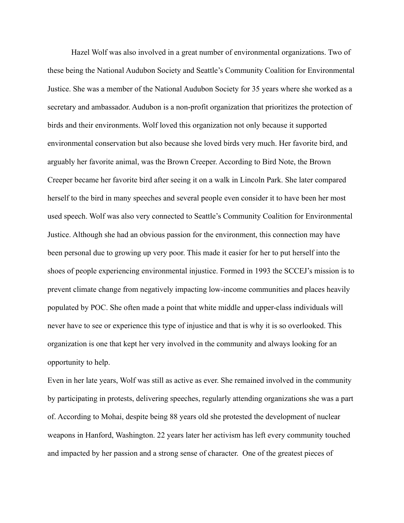Hazel Wolf was also involved in a great number of environmental organizations. Two of these being the National Audubon Society and Seattle's Community Coalition for Environmental Justice. She was a member of the National Audubon Society for 35 years where she worked as a secretary and ambassador. Audubon is a non-profit organization that prioritizes the protection of birds and their environments. Wolf loved this organization not only because it supported environmental conservation but also because she loved birds very much. Her favorite bird, and arguably her favorite animal, was the Brown Creeper. According to Bird Note, the Brown Creeper became her favorite bird after seeing it on a walk in Lincoln Park. She later compared herself to the bird in many speeches and several people even consider it to have been her most used speech. Wolf was also very connected to Seattle's Community Coalition for Environmental Justice. Although she had an obvious passion for the environment, this connection may have been personal due to growing up very poor. This made it easier for her to put herself into the shoes of people experiencing environmental injustice. Formed in 1993 the SCCEJ's mission is to prevent climate change from negatively impacting low-income communities and places heavily populated by POC. She often made a point that white middle and upper-class individuals will never have to see or experience this type of injustice and that is why it is so overlooked. This organization is one that kept her very involved in the community and always looking for an opportunity to help.

Even in her late years, Wolf was still as active as ever. She remained involved in the community by participating in protests, delivering speeches, regularly attending organizations she was a part of. According to Mohai, despite being 88 years old she protested the development of nuclear weapons in Hanford, Washington. 22 years later her activism has left every community touched and impacted by her passion and a strong sense of character. One of the greatest pieces of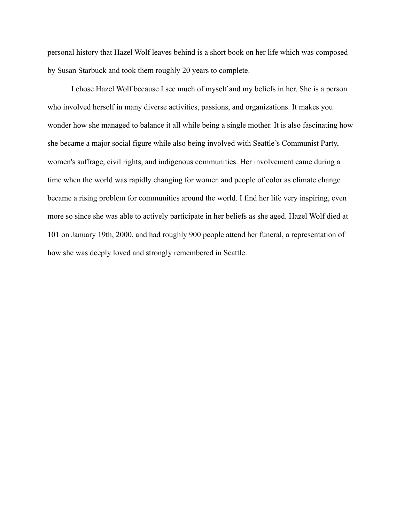personal history that Hazel Wolf leaves behind is a short book on her life which was composed by Susan Starbuck and took them roughly 20 years to complete.

I chose Hazel Wolf because I see much of myself and my beliefs in her. She is a person who involved herself in many diverse activities, passions, and organizations. It makes you wonder how she managed to balance it all while being a single mother. It is also fascinating how she became a major social figure while also being involved with Seattle's Communist Party, women's suffrage, civil rights, and indigenous communities. Her involvement came during a time when the world was rapidly changing for women and people of color as climate change became a rising problem for communities around the world. I find her life very inspiring, even more so since she was able to actively participate in her beliefs as she aged. Hazel Wolf died at 101 on January 19th, 2000, and had roughly 900 people attend her funeral, a representation of how she was deeply loved and strongly remembered in Seattle.